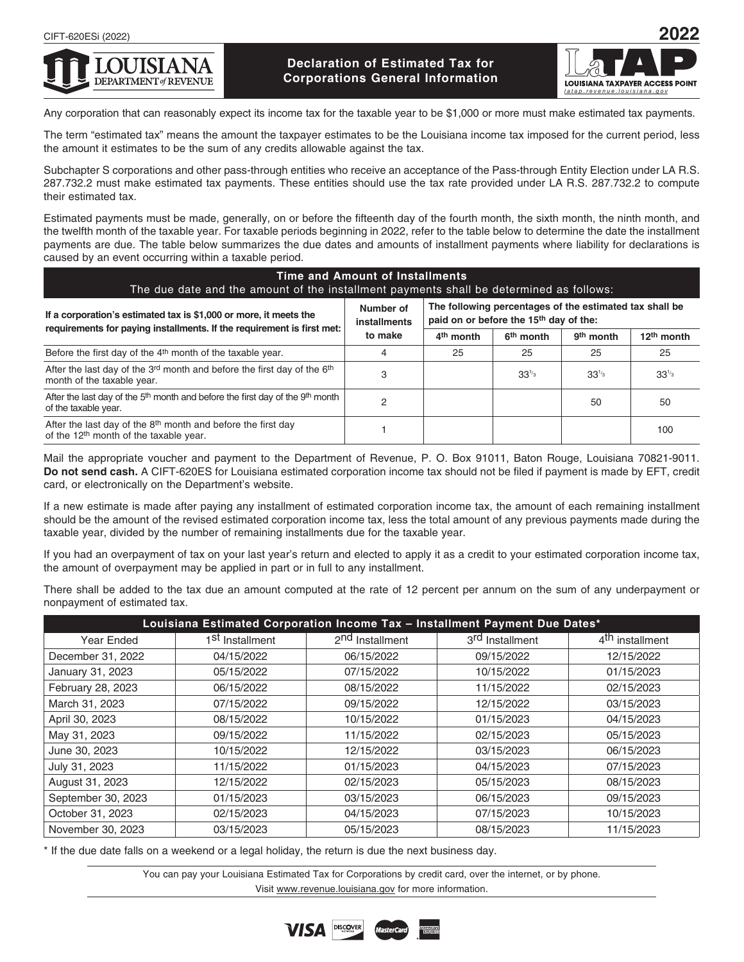

# **Declaration of Estimated Tax for Corporations General Information**



Any corporation that can reasonably expect its income tax for the taxable year to be \$1,000 or more must make estimated tax payments.

The term "estimated tax" means the amount the taxpayer estimates to be the Louisiana income tax imposed for the current period, less the amount it estimates to be the sum of any credits allowable against the tax.

Subchapter S corporations and other pass-through entities who receive an acceptance of the Pass-through Entity Election under LA R.S. 287.732.2 must make estimated tax payments. These entities should use the tax rate provided under LA R.S. 287.732.2 to compute their estimated tax.

Estimated payments must be made, generally, on or before the fifteenth day of the fourth month, the sixth month, the ninth month, and the twelfth month of the taxable year. For taxable periods beginning in 2022, refer to the table below to determine the date the installment payments are due. The table below summarizes the due dates and amounts of installment payments where liability for declarations is caused by an event occurring within a taxable period.

| Time and Amount of Installments<br>The due date and the amount of the installment payments shall be determined as follows:     |                                      |                                                                                                               |                       |                       |                        |
|--------------------------------------------------------------------------------------------------------------------------------|--------------------------------------|---------------------------------------------------------------------------------------------------------------|-----------------------|-----------------------|------------------------|
| If a corporation's estimated tax is \$1,000 or more, it meets the                                                              | Number of<br>installments<br>to make | The following percentages of the estimated tax shall be<br>paid on or before the 15 <sup>th</sup> day of the: |                       |                       |                        |
| requirements for paying installments. If the requirement is first met:                                                         |                                      | 4 <sup>th</sup> month                                                                                         | 6 <sup>th</sup> month | 9 <sup>th</sup> month | 12 <sup>th</sup> month |
| Before the first day of the 4 <sup>th</sup> month of the taxable year.                                                         | 4                                    | 25                                                                                                            | 25                    | 25                    | 25                     |
| After the last day of the 3rd month and before the first day of the 6th<br>month of the taxable year.                          | 3                                    |                                                                                                               | $33^{1/3}$            | $33^{1/3}$            | $33^{1/3}$             |
| After the last day of the 5 <sup>th</sup> month and before the first day of the 9 <sup>th</sup> month<br>of the taxable year.  | 2                                    |                                                                                                               |                       | 50                    | 50                     |
| After the last day of the 8 <sup>th</sup> month and before the first day<br>of the 12 <sup>th</sup> month of the taxable year. |                                      |                                                                                                               |                       |                       | 100                    |

Mail the appropriate voucher and payment to the Department of Revenue, P. O. Box 91011, Baton Rouge, Louisiana 70821-9011. **Do not send cash.** A CIFT-620ES for Louisiana estimated corporation income tax should not be filed if payment is made by EFT, credit card, or electronically on the Department's website.

If a new estimate is made after paying any installment of estimated corporation income tax, the amount of each remaining installment should be the amount of the revised estimated corporation income tax, less the total amount of any previous payments made during the taxable year, divided by the number of remaining installments due for the taxable year.

If you had an overpayment of tax on your last year's return and elected to apply it as a credit to your estimated corporation income tax, the amount of overpayment may be applied in part or in full to any installment.

There shall be added to the tax due an amount computed at the rate of 12 percent per annum on the sum of any underpayment or nonpayment of estimated tax.

| Louisiana Estimated Corporation Income Tax - Installment Payment Due Dates* |                             |                             |                             |                             |
|-----------------------------------------------------------------------------|-----------------------------|-----------------------------|-----------------------------|-----------------------------|
| Year Ended                                                                  | 1 <sup>St</sup> Installment | 2 <sup>nd</sup> Installment | 3 <sup>rd</sup> Installment | 4 <sup>th</sup> installment |
| December 31, 2022                                                           | 04/15/2022                  | 06/15/2022                  | 09/15/2022                  | 12/15/2022                  |
| January 31, 2023                                                            | 05/15/2022                  | 07/15/2022                  | 10/15/2022                  | 01/15/2023                  |
| February 28, 2023                                                           | 06/15/2022                  | 08/15/2022                  | 11/15/2022                  | 02/15/2023                  |
| March 31, 2023                                                              | 07/15/2022                  | 09/15/2022                  | 12/15/2022                  | 03/15/2023                  |
| April 30, 2023                                                              | 08/15/2022                  | 10/15/2022                  | 01/15/2023                  | 04/15/2023                  |
| May 31, 2023                                                                | 09/15/2022                  | 11/15/2022                  | 02/15/2023                  | 05/15/2023                  |
| June 30, 2023                                                               | 10/15/2022                  | 12/15/2022                  | 03/15/2023                  | 06/15/2023                  |
| July 31, 2023                                                               | 11/15/2022                  | 01/15/2023                  | 04/15/2023                  | 07/15/2023                  |
| August 31, 2023                                                             | 12/15/2022                  | 02/15/2023                  | 05/15/2023                  | 08/15/2023                  |
| September 30, 2023                                                          | 01/15/2023                  | 03/15/2023                  | 06/15/2023                  | 09/15/2023                  |
| October 31, 2023                                                            | 02/15/2023                  | 04/15/2023                  | 07/15/2023                  | 10/15/2023                  |
| November 30, 2023                                                           | 03/15/2023                  | 05/15/2023                  | 08/15/2023                  | 11/15/2023                  |

\* If the due date falls on a weekend or a legal holiday, the return is due the next business day.

You can pay your Louisiana Estimated Tax for Corporations by credit card, over the internet, or by phone. Visit www.revenue.louisiana.gov for more information.